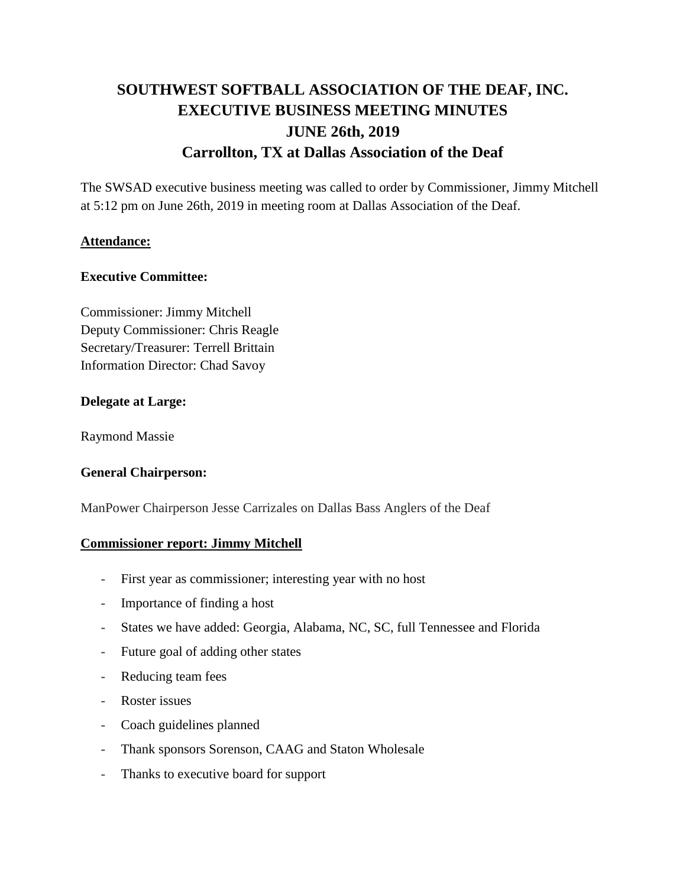# **SOUTHWEST SOFTBALL ASSOCIATION OF THE DEAF, INC. EXECUTIVE BUSINESS MEETING MINUTES JUNE 26th, 2019 Carrollton, TX at Dallas Association of the Deaf**

The SWSAD executive business meeting was called to order by Commissioner, Jimmy Mitchell at 5:12 pm on June 26th, 2019 in meeting room at Dallas Association of the Deaf.

## **Attendance:**

## **Executive Committee:**

Commissioner: Jimmy Mitchell Deputy Commissioner: Chris Reagle Secretary/Treasurer: Terrell Brittain Information Director: Chad Savoy

## **Delegate at Large:**

Raymond Massie

#### **General Chairperson:**

ManPower Chairperson Jesse Carrizales on Dallas Bass Anglers of the Deaf

#### **Commissioner report: Jimmy Mitchell**

- First year as commissioner; interesting year with no host
- Importance of finding a host
- States we have added: Georgia, Alabama, NC, SC, full Tennessee and Florida
- Future goal of adding other states
- Reducing team fees
- Roster issues
- Coach guidelines planned
- Thank sponsors Sorenson, CAAG and Staton Wholesale
- Thanks to executive board for support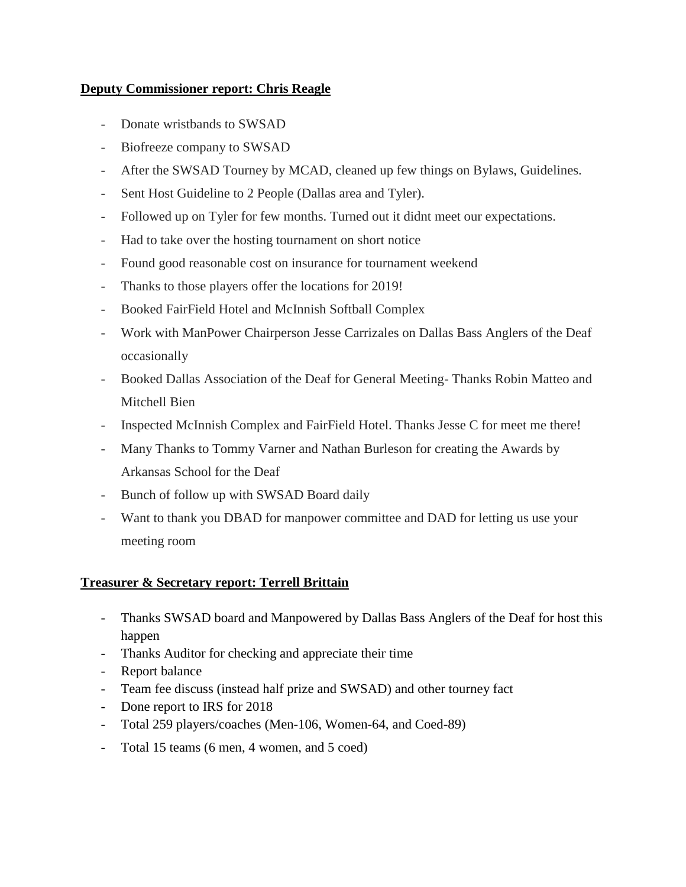# **Deputy Commissioner report: Chris Reagle**

- Donate wristbands to SWSAD
- Biofreeze company to SWSAD
- After the SWSAD Tourney by MCAD, cleaned up few things on Bylaws, Guidelines.
- Sent Host Guideline to 2 People (Dallas area and Tyler).
- Followed up on Tyler for few months. Turned out it didnt meet our expectations.
- Had to take over the hosting tournament on short notice
- Found good reasonable cost on insurance for tournament weekend
- Thanks to those players offer the locations for 2019!
- Booked FairField Hotel and McInnish Softball Complex
- Work with ManPower Chairperson Jesse Carrizales on Dallas Bass Anglers of the Deaf occasionally
- Booked Dallas Association of the Deaf for General Meeting- Thanks Robin Matteo and Mitchell Bien
- Inspected McInnish Complex and FairField Hotel. Thanks Jesse C for meet me there!
- Many Thanks to Tommy Varner and Nathan Burleson for creating the Awards by Arkansas School for the Deaf
- Bunch of follow up with SWSAD Board daily
- Want to thank you DBAD for manpower committee and DAD for letting us use your meeting room

# **Treasurer & Secretary report: Terrell Brittain**

- Thanks SWSAD board and Manpowered by Dallas Bass Anglers of the Deaf for host this happen
- Thanks Auditor for checking and appreciate their time
- Report balance
- Team fee discuss (instead half prize and SWSAD) and other tourney fact
- Done report to IRS for 2018
- Total 259 players/coaches (Men-106, Women-64, and Coed-89)
- Total 15 teams (6 men, 4 women, and 5 coed)